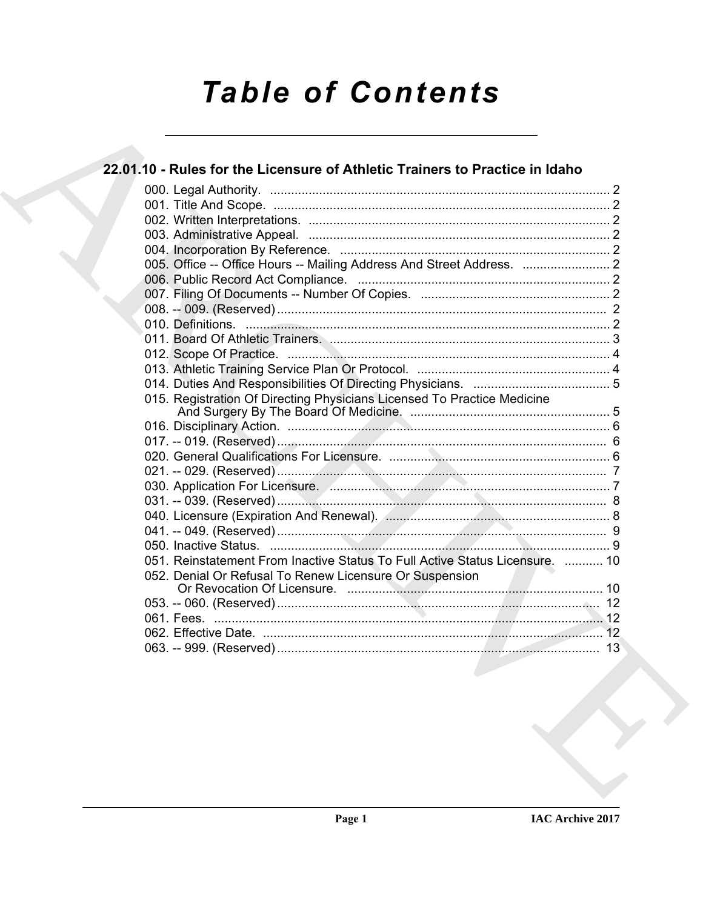# **Table of Contents**

# 22.01.10 - Rules for the Licensure of Athletic Trainers to Practice in Idaho 015. Registration Of Directing Physicians Licensed To Practice Medicine 051. Reinstatement From Inactive Status To Full Active Status Licensure. ........... 10 052. Denial Or Refusal To Renew Licensure Or Suspension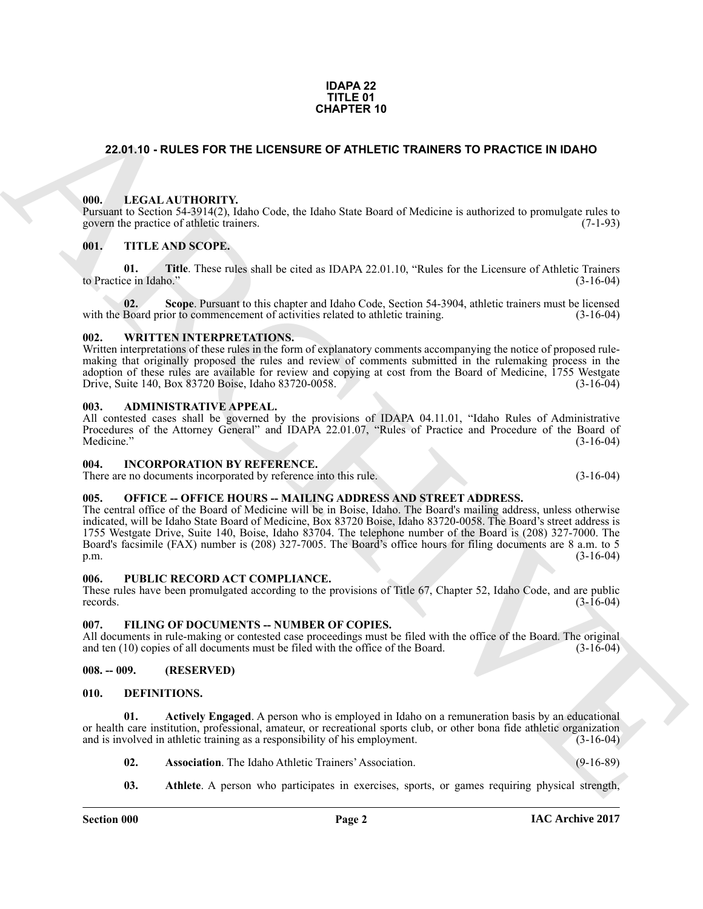#### **IDAPA 22 TITLE 01 CHAPTER 10**

# <span id="page-1-0"></span>**22.01.10 - RULES FOR THE LICENSURE OF ATHLETIC TRAINERS TO PRACTICE IN IDAHO**

#### <span id="page-1-1"></span>**000. LEGAL AUTHORITY.**

Pursuant to Section 54-3914(2), Idaho Code, the Idaho State Board of Medicine is authorized to promulgate rules to govern the practice of athletic trainers. (7-1-93)

# <span id="page-1-2"></span>**001. TITLE AND SCOPE.**

**01. Title**. These rules shall be cited as IDAPA 22.01.10, "Rules for the Licensure of Athletic Trainers ce in Idaho." (3-16-04) to Practice in Idaho."

**02.** Scope. Pursuant to this chapter and Idaho Code, Section 54-3904, athletic trainers must be licensed Board prior to commencement of activities related to athletic training. (3-16-04) with the Board prior to commencement of activities related to athletic training.

### <span id="page-1-3"></span>**002. WRITTEN INTERPRETATIONS.**

Written interpretations of these rules in the form of explanatory comments accompanying the notice of proposed rulemaking that originally proposed the rules and review of comments submitted in the rulemaking process in the adoption of these rules are available for review and copying at cost from the Board of Medicine, 1755 Westgate Drive, Suite 140, Box 83720 Boise, Idaho 83720-0058. (3-16-04) Drive, Suite 140, Box 83720 Boise, Idaho 83720-0058.

#### <span id="page-1-4"></span>**003. ADMINISTRATIVE APPEAL.**

All contested cases shall be governed by the provisions of IDAPA 04.11.01, "Idaho Rules of Administrative Procedures of the Attorney General" and IDAPA 22.01.07, "Rules of Practice and Procedure of the Board of  $\text{Medicine."}$  (3-16-04)

#### <span id="page-1-5"></span>**004. INCORPORATION BY REFERENCE.**

There are no documents incorporated by reference into this rule. (3-16-04)

# <span id="page-1-6"></span>**005. OFFICE -- OFFICE HOURS -- MAILING ADDRESS AND STREET ADDRESS.**

**CHAPTER 10**<br>
22.01.10 - **RULES FOR THE LIGENBURG OF ATHLETIC TRAINERS TO PRACTICE IN IDAHO<br>
1980. ILLEGAL ALTITORIUM Video Code, the Idaho State Doard of Medicine is authorized to promotique rules in<br>
1991. THE AND SCOPE** The central office of the Board of Medicine will be in Boise, Idaho. The Board's mailing address, unless otherwise indicated, will be Idaho State Board of Medicine, Box 83720 Boise, Idaho 83720-0058. The Board's street address is 1755 Westgate Drive, Suite 140, Boise, Idaho 83704. The telephone number of the Board is (208) 327-7000. The Board's facsimile (FAX) number is (208) 327-7005. The Board's office hours for filing documents are 8 a.m. to 5 p.m. (3-16-04) p.m. (3-16-04)

#### <span id="page-1-7"></span>**006. PUBLIC RECORD ACT COMPLIANCE.**

These rules have been promulgated according to the provisions of Title 67, Chapter 52, Idaho Code, and are public records.  $(3-16-04)$ 

#### <span id="page-1-8"></span>**007. FILING OF DOCUMENTS -- NUMBER OF COPIES.**

All documents in rule-making or contested case proceedings must be filed with the office of the Board. The original and ten (10) copies of all documents must be filed with the office of the Board. (3-16-04)

# <span id="page-1-9"></span>**008. -- 009. (RESERVED)**

#### <span id="page-1-11"></span><span id="page-1-10"></span>**010. DEFINITIONS.**

**01. Actively Engaged**. A person who is employed in Idaho on a remuneration basis by an educational or health care institution, professional, amateur, or recreational sports club, or other bona fide athletic organization and is involved in athletic training as a responsibility of his employment. (3-16-04) and is involved in athletic training as a responsibility of his employment.

- <span id="page-1-14"></span><span id="page-1-13"></span><span id="page-1-12"></span>**02. Association**. The Idaho Athletic Trainers' Association. (9-16-89)
- **03. Athlete**. A person who participates in exercises, sports, or games requiring physical strength,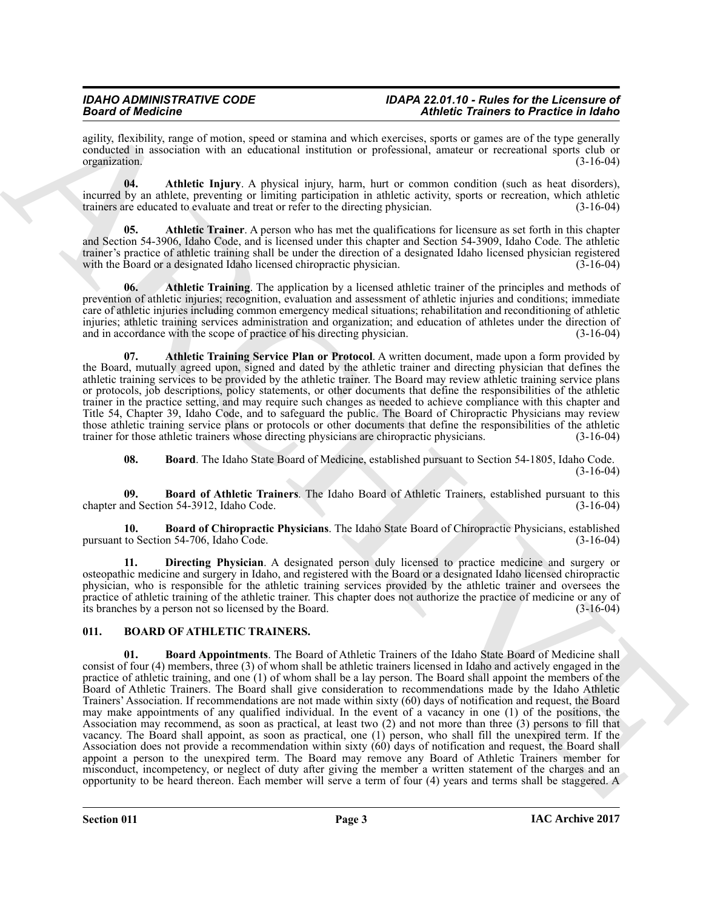#### *IDAHO ADMINISTRATIVE CODE IDAPA 22.01.10 - Rules for the Licensure of Board of Medicine Athletic Trainers to Practice in Idaho*

agility, flexibility, range of motion, speed or stamina and which exercises, sports or games are of the type generally conducted in association with an educational institution or professional, amateur or recreational sports club or organization. (3-16-04) organization.

<span id="page-2-3"></span>**04. Athletic Injury**. A physical injury, harm, hurt or common condition (such as heat disorders), incurred by an athlete, preventing or limiting participation in athletic activity, sports or recreation, which athletic trainers are educated to evaluate and treat or refer to the directing physician. (3-16-04) trainers are educated to evaluate and treat or refer to the directing physician.

<span id="page-2-4"></span>**05.** Athletic Trainer. A person who has met the qualifications for licensure as set forth in this chapter and Section 54-3906, Idaho Code, and is licensed under this chapter and Section 54-3909, Idaho Code. The athletic trainer's practice of athletic training shall be under the direction of a designated Idaho licensed physician registered with the Board or a designated Idaho licensed chiropractic physician. (3-16-04) with the Board or a designated Idaho licensed chiropractic physician.

<span id="page-2-5"></span>**06. Athletic Training**. The application by a licensed athletic trainer of the principles and methods of prevention of athletic injuries; recognition, evaluation and assessment of athletic injuries and conditions; immediate care of athletic injuries including common emergency medical situations; rehabilitation and reconditioning of athletic injuries; athletic training services administration and organization; and education of athletes under the direction of and in accordance with the scope of practice of his directing physician. (3-16-04) and in accordance with the scope of practice of his directing physician.

<span id="page-2-6"></span>**07. Athletic Training Service Plan or Protocol**. A written document, made upon a form provided by the Board, mutually agreed upon, signed and dated by the athletic trainer and directing physician that defines the athletic training services to be provided by the athletic trainer. The Board may review athletic training service plans or protocols, job descriptions, policy statements, or other documents that define the responsibilities of the athletic trainer in the practice setting, and may require such changes as needed to achieve compliance with this chapter and Title 54, Chapter 39, Idaho Code, and to safeguard the public. The Board of Chiropractic Physicians may review those athletic training service plans or protocols or other documents that define the responsibilities of the athletic trainer for those athletic trainers whose directing physicians are chiropractic physicians. (3-16-04) trainer for those athletic trainers whose directing physicians are chiropractic physicians.

<span id="page-2-9"></span><span id="page-2-8"></span><span id="page-2-7"></span>**08. Board**. The Idaho State Board of Medicine, established pursuant to Section 54-1805, Idaho Code. (3-16-04)

**09. Board of Athletic Trainers**. The Idaho Board of Athletic Trainers, established pursuant to this chapter and Section 54-3912, Idaho Code.

**10. Board of Chiropractic Physicians**. The Idaho State Board of Chiropractic Physicians, established pursuant to Section 54-706, Idaho Code.

<span id="page-2-10"></span>**11. Directing Physician**. A designated person duly licensed to practice medicine and surgery or osteopathic medicine and surgery in Idaho, and registered with the Board or a designated Idaho licensed chiropractic physician, who is responsible for the athletic training services provided by the athletic trainer and oversees the practice of athletic training of the athletic trainer. This chapter does not authorize the practice of medicine or any of its branches by a person not so licensed by the Board. (3-16-04) its branches by a person not so licensed by the Board.

# <span id="page-2-2"></span><span id="page-2-1"></span><span id="page-2-0"></span>**011. BOARD OF ATHLETIC TRAINERS.**

**Solution** distribution (and the state of the state of the state of the state of the state of the state of the state of the state of the state of the state of the state of the state of the state of the state of the state **01. Board Appointments**. The Board of Athletic Trainers of the Idaho State Board of Medicine shall consist of four (4) members, three (3) of whom shall be athletic trainers licensed in Idaho and actively engaged in the practice of athletic training, and one (1) of whom shall be a lay person. The Board shall appoint the members of the Board of Athletic Trainers. The Board shall give consideration to recommendations made by the Idaho Athletic Trainers' Association. If recommendations are not made within sixty (60) days of notification and request, the Board may make appointments of any qualified individual. In the event of a vacancy in one (1) of the positions, the Association may recommend, as soon as practical, at least two (2) and not more than three (3) persons to fill that vacancy. The Board shall appoint, as soon as practical, one (1) person, who shall fill the unexpired term. If the Association does not provide a recommendation within sixty (60) days of notification and request, the Board shall appoint a person to the unexpired term. The Board may remove any Board of Athletic Trainers member for misconduct, incompetency, or neglect of duty after giving the member a written statement of the charges and an opportunity to be heard thereon. Each member will serve a term of four (4) years and terms shall be staggered. A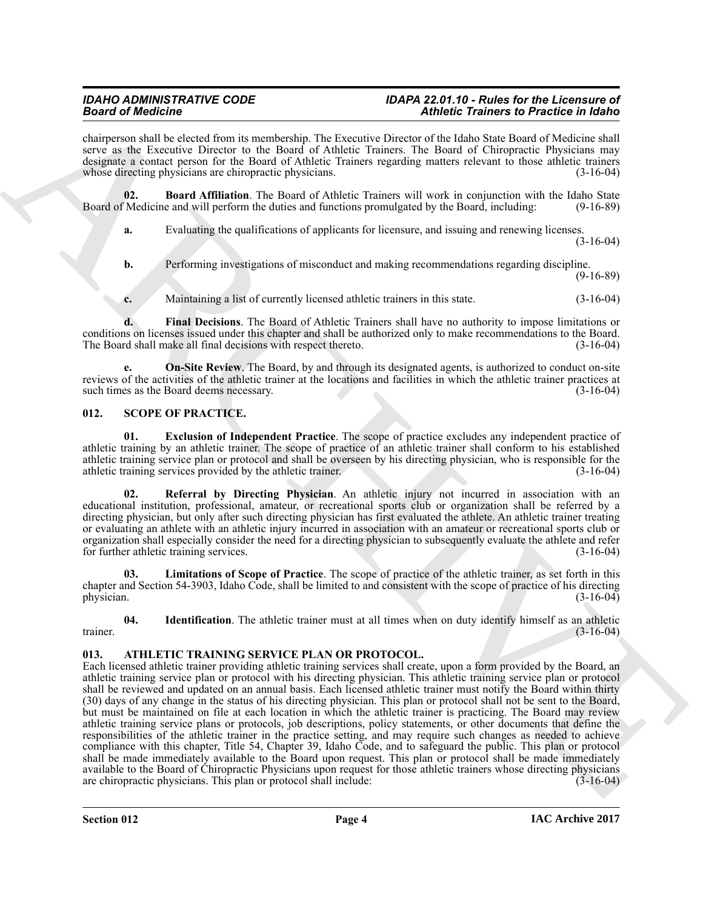chairperson shall be elected from its membership. The Executive Director of the Idaho State Board of Medicine shall serve as the Executive Director to the Board of Athletic Trainers. The Board of Chiropractic Physicians may designate a contact person for the Board of Athletic Trainers regarding matters relevant to those athletic trainers whose directing physicians are chiropractic physicians. (3-16-04)

**02. Board Affiliation**. The Board of Athletic Trainers will work in conjunction with the Idaho State Medicine and will perform the duties and functions promulgated by the Board, including: (9-16-89) Board of Medicine and will perform the duties and functions promulgated by the Board, including:

<span id="page-3-3"></span>**a.** Evaluating the qualifications of applicants for licensure, and issuing and renewing licenses. (3-16-04)

**b.** Performing investigations of misconduct and making recommendations regarding discipline. (9-16-89)

<span id="page-3-5"></span><span id="page-3-4"></span>**c.** Maintaining a list of currently licensed athletic trainers in this state.  $(3-16-04)$ 

**d. Final Decisions**. The Board of Athletic Trainers shall have no authority to impose limitations or conditions on licenses issued under this chapter and shall be authorized only to make recommendations to the Board. The Board shall make all final decisions with respect thereto. (3-16-04)

**e. On-Site Review**. The Board, by and through its designated agents, is authorized to conduct on-site reviews of the activities of the athletic trainer at the locations and facilities in which the athletic trainer practices at such times as the Board deems necessary. such times as the Board deems necessary.

# <span id="page-3-6"></span><span id="page-3-0"></span>**012. SCOPE OF PRACTICE.**

<span id="page-3-7"></span>**01. Exclusion of Independent Practice**. The scope of practice excludes any independent practice of athletic training by an athletic trainer. The scope of practice of an athletic trainer shall conform to his established athletic training service plan or protocol and shall be overseen by his directing physician, who is responsible for the athletic training services provided by the athletic trainer. (3-16-04) athletic training services provided by the athletic trainer.

<span id="page-3-10"></span>**Referral by Directing Physician**. An athletic injury not incurred in association with an educational institution, professional, amateur, or recreational sports club or organization shall be referred by a directing physician, but only after such directing physician has first evaluated the athlete. An athletic trainer treating or evaluating an athlete with an athletic injury incurred in association with an amateur or recreational sports club or organization shall especially consider the need for a directing physician to subsequently evaluate the athlete and refer for further athletic training services. (3-16-04)

<span id="page-3-9"></span>**03. Limitations of Scope of Practice**. The scope of practice of the athletic trainer, as set forth in this chapter and Section 54-3903, Idaho Code, shall be limited to and consistent with the scope of practice of his directing<br>(3-16-04) physician.  $(3-16-04)$ 

<span id="page-3-8"></span>**04.** Identification. The athletic trainer must at all times when on duty identify himself as an athletic (3-16-04) trainer.  $(3-16-04)$ 

#### <span id="page-3-2"></span><span id="page-3-1"></span>**013. ATHLETIC TRAINING SERVICE PLAN OR PROTOCOL.**

**Since of Modelson Constrainers** and the two states of the the **Exercise Constrainers** and the states of Modelson Constrainers and the states of Modelson Constrainers and the states of the states of the states of the stat Each licensed athletic trainer providing athletic training services shall create, upon a form provided by the Board, an athletic training service plan or protocol with his directing physician. This athletic training service plan or protocol shall be reviewed and updated on an annual basis. Each licensed athletic trainer must notify the Board within thirty (30) days of any change in the status of his directing physician. This plan or protocol shall not be sent to the Board, but must be maintained on file at each location in which the athletic trainer is practicing. The Board may review athletic training service plans or protocols, job descriptions, policy statements, or other documents that define the responsibilities of the athletic trainer in the practice setting, and may require such changes as needed to achieve compliance with this chapter, Title 54, Chapter 39, Idaho Code, and to safeguard the public. This plan or protocol shall be made immediately available to the Board upon request. This plan or protocol shall be made immediately available to the Board of Chiropractic Physicians upon request for those athletic trainers whose directing physicians are chiropractic physicians. This plan or protocol shall include: (3-16-04) are chiropractic physicians. This plan or protocol shall include: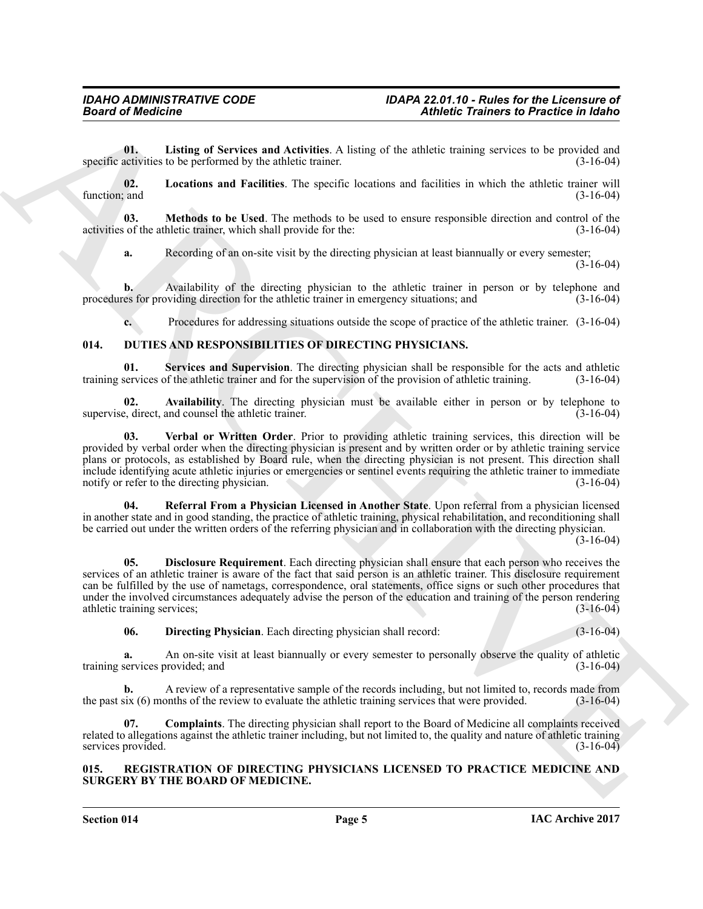<span id="page-4-2"></span>**01.** Listing of Services and Activities. A listing of the athletic training services to be provided and activities to be performed by the athletic trainer. (3-16-04) specific activities to be performed by the athletic trainer.

<span id="page-4-3"></span>**02. Locations and Facilities**. The specific locations and facilities in which the athletic trainer will function; and  $(3-16-04)$ 

**03. Methods to be Used**. The methods to be used to ensure responsible direction and control of the of the athletic trainer, which shall provide for the: (3-16-04) activities of the athletic trainer, which shall provide for the:

<span id="page-4-4"></span>**a.** Recording of an on-site visit by the directing physician at least biannually or every semester;

(3-16-04)

**b.** Availability of the directing physician to the athletic trainer in person or by telephone and procedures for providing direction for the athletic trainer in emergency situations; and (3-16-04)

<span id="page-4-11"></span><span id="page-4-6"></span><span id="page-4-5"></span>**c.** Procedures for addressing situations outside the scope of practice of the athletic trainer. (3-16-04)

# <span id="page-4-0"></span>**014. DUTIES AND RESPONSIBILITIES OF DIRECTING PHYSICIANS.**

**01.** Services and Supervision. The directing physician shall be responsible for the acts and athletic services of the athletic trainer and for the supervision of the provision of athletic training. (3-16-04) training services of the athletic trainer and for the supervision of the provision of athletic training.

**02.** Availability. The directing physician must be available either in person or by telephone to each direct, and counsel the athletic trainer. supervise, direct, and counsel the athletic trainer.

<span id="page-4-12"></span>**03. Verbal or Written Order**. Prior to providing athletic training services, this direction will be provided by verbal order when the directing physician is present and by written order or by athletic training service plans or protocols, as established by Board rule, when the directing physician is not present. This direction shall include identifying acute athletic injuries or emergencies or sentinel events requiring the athletic trainer to immediate notify or refer to the directing physician.

<span id="page-4-10"></span>**04. Referral From a Physician Licensed in Another State**. Upon referral from a physician licensed in another state and in good standing, the practice of athletic training, physical rehabilitation, and reconditioning shall be carried out under the written orders of the referring physician and in collaboration with the directing physician.

(3-16-04)

**Example of Andrejins and Andrejins A human of the Eliots trainers in Principal and Results and Results and Andrejins and Andrejins and Andrejins and Andrejins and Andrejins and Andrejins and Andrejins and Andrejins and A 05. Disclosure Requirement**. Each directing physician shall ensure that each person who receives the services of an athletic trainer is aware of the fact that said person is an athletic trainer. This disclosure requirement can be fulfilled by the use of nametags, correspondence, oral statements, office signs or such other procedures that under the involved circumstances adequately advise the person of the education and training of the person rendering athletic training services: (3-16-04) athletic training services;

<span id="page-4-9"></span><span id="page-4-8"></span>**06. Directing Physician**. Each directing physician shall record: (3-16-04)

**a.** An on-site visit at least biannually or every semester to personally observe the quality of athletic services provided; and (3-16-04) training services provided; and

**b.** A review of a representative sample of the records including, but not limited to, records made from  $\frac{1}{3}$  (6) months of the review to evaluate the athletic training services that were provided. (3-16-04) the past six  $(6)$  months of the review to evaluate the athletic training services that were provided.

<span id="page-4-7"></span>**07. Complaints**. The directing physician shall report to the Board of Medicine all complaints received related to allegations against the athletic trainer including, but not limited to, the quality and nature of athletic training services provided. (3-16-04)

### <span id="page-4-13"></span><span id="page-4-1"></span>**015. REGISTRATION OF DIRECTING PHYSICIANS LICENSED TO PRACTICE MEDICINE AND SURGERY BY THE BOARD OF MEDICINE.**

**Section 014 Page 5**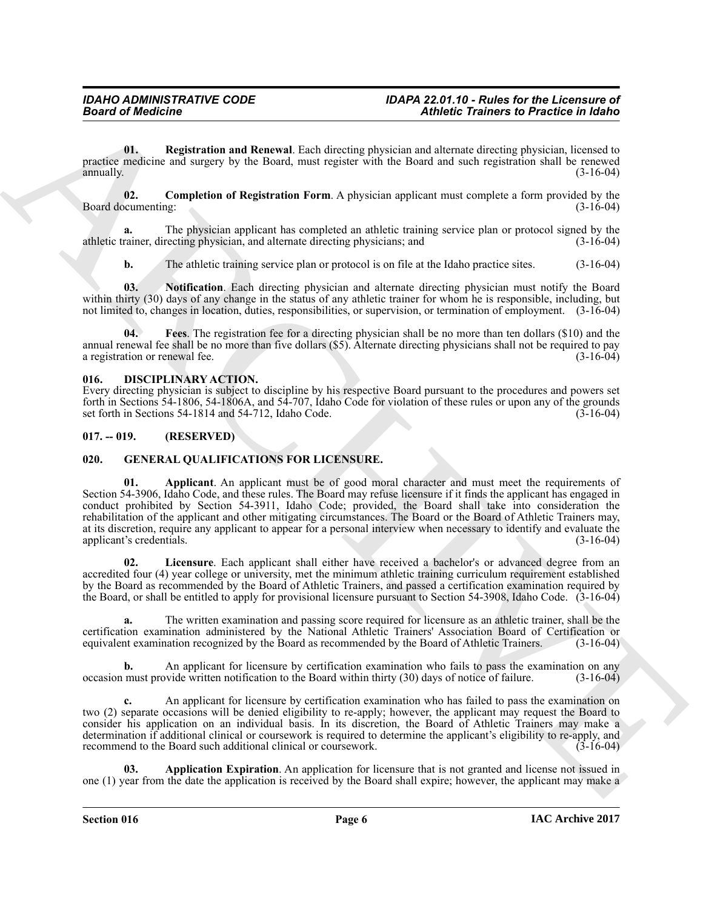<span id="page-5-11"></span>**01. Registration and Renewal**. Each directing physician and alternate directing physician, licensed to practice medicine and surgery by the Board, must register with the Board and such registration shall be renewed annually. (3-16-04) annually.  $(3-16-04)$ 

<span id="page-5-8"></span>**02. Completion of Registration Form**. A physician applicant must complete a form provided by the cumenting: (3-16-04) Board documenting:

**a.** The physician applicant has completed an athletic training service plan or protocol signed by the athletic trainer, directing physician, and alternate directing physicians; and (3-16-04)

<span id="page-5-10"></span><span id="page-5-9"></span>**b.** The athletic training service plan or protocol is on file at the Idaho practice sites.  $(3-16-04)$ 

**03. Notification**. Each directing physician and alternate directing physician must notify the Board within thirty (30) days of any change in the status of any athletic trainer for whom he is responsible, including, but not limited to, changes in location, duties, responsibilities, or supervision, or termination of employment. (3-16-04)

**04. Fees**. The registration fee for a directing physician shall be no more than ten dollars (\$10) and the annual renewal fee shall be no more than five dollars (\$5). Alternate directing physicians shall not be required to pay<br>(3-16-04) a registration or renewal fee. a registration or renewal fee.

### <span id="page-5-3"></span><span id="page-5-0"></span>**016. DISCIPLINARY ACTION.**

Every directing physician is subject to discipline by his respective Board pursuant to the procedures and powers set forth in Sections 54-1806, 54-1806A, and 54-707, Idaho Code for violation of these rules or upon any of the grounds set forth in Sections 54-1814 and 54-712, Idaho Code.

### <span id="page-5-1"></span>**017. -- 019. (RESERVED)**

# <span id="page-5-5"></span><span id="page-5-4"></span><span id="page-5-2"></span>**020. GENERAL QUALIFICATIONS FOR LICENSURE.**

**Example the distribution** of the state of the distribution in the state of the state of the state of the state of the state of the state of the state of the state of the state of the state of the state of the state of th Applicant. An applicant must be of good moral character and must meet the requirements of Section 54-3906, Idaho Code, and these rules. The Board may refuse licensure if it finds the applicant has engaged in conduct prohibited by Section 54-3911, Idaho Code; provided, the Board shall take into consideration the rehabilitation of the applicant and other mitigating circumstances. The Board or the Board of Athletic Trainers may, at its discretion, require any applicant to appear for a personal interview when necessary to identify and evaluate the applicant's credentials. (3-16-04) applicant's credentials.

<span id="page-5-7"></span>**02. Licensure**. Each applicant shall either have received a bachelor's or advanced degree from an accredited four (4) year college or university, met the minimum athletic training curriculum requirement established by the Board as recommended by the Board of Athletic Trainers, and passed a certification examination required by the Board, or shall be entitled to apply for provisional licensure pursuant to Section 54-3908, Idaho Code. (3-16-04)

**a.** The written examination and passing score required for licensure as an athletic trainer, shall be the certification examination administered by the National Athletic Trainers' Association Board of Certification or equivalent examination recognized by the Board as recommended by the Board of Athletic Trainers. (3-16-04) equivalent examination recognized by the Board as recommended by the Board of Athletic Trainers.

**b.** An applicant for licensure by certification examination who fails to pass the examination on any occasion must provide written notification to the Board within thirty (30) days of notice of failure. (3-16-04)

**c.** An applicant for licensure by certification examination who has failed to pass the examination on two (2) separate occasions will be denied eligibility to re-apply; however, the applicant may request the Board to consider his application on an individual basis. In its discretion, the Board of Athletic Trainers may make a determination if additional clinical or coursework is required to determine the applicant's eligibility to re-apply, and recommend to the Board such additional clinical or coursework. (3-16-04) recommend to the Board such additional clinical or coursework.

<span id="page-5-6"></span>**03. Application Expiration**. An application for licensure that is not granted and license not issued in one (1) year from the date the application is received by the Board shall expire; however, the applicant may make a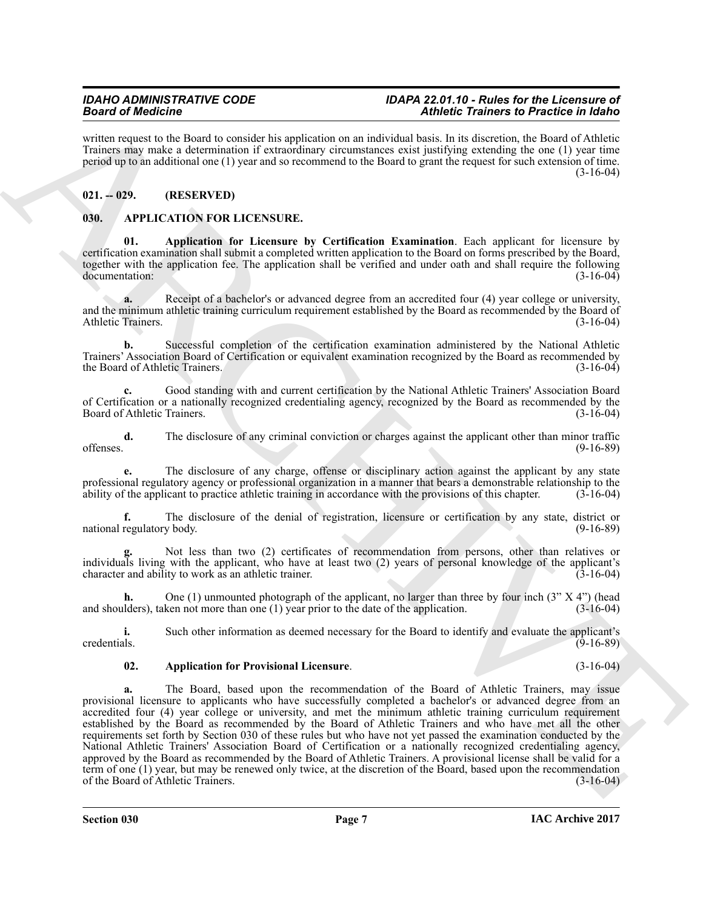#### *IDAHO ADMINISTRATIVE CODE IDAPA 22.01.10 - Rules for the Licensure of Board of Medicine Athletic Trainers to Practice in Idaho*

written request to the Board to consider his application on an individual basis. In its discretion, the Board of Athletic Trainers may make a determination if extraordinary circumstances exist justifying extending the one (1) year time period up to an additional one (1) year and so recommend to the Board to grant the request for such extension of time.  $(3-16-04)$ 

# <span id="page-6-0"></span>**021. -- 029. (RESERVED)**

# <span id="page-6-2"></span><span id="page-6-1"></span>**030. APPLICATION FOR LICENSURE.**

<span id="page-6-3"></span>**01. Application for Licensure by Certification Examination**. Each applicant for licensure by certification examination shall submit a completed written application to the Board on forms prescribed by the Board, together with the application fee. The application shall be verified and under oath and shall require the following documentation:<br>(3-16-04) documentation:

**a.** Receipt of a bachelor's or advanced degree from an accredited four (4) year college or university, and the minimum athletic training curriculum requirement established by the Board as recommended by the Board of Athletic Trainers. (3-16-04) Athletic Trainers.

**b.** Successful completion of the certification examination administered by the National Athletic Trainers' Association Board of Certification or equivalent examination recognized by the Board as recommended by the Board of Athletic Trainers.

**c.** Good standing with and current certification by the National Athletic Trainers' Association Board of Certification or a nationally recognized credentialing agency, recognized by the Board as recommended by the Board of Athletic Trainers. (3-16-04)

**d.** The disclosure of any criminal conviction or charges against the applicant other than minor traffic (9-16-89) offenses. (9-16-89)

**e.** The disclosure of any charge, offense or disciplinary action against the applicant by any state professional regulatory agency or professional organization in a manner that bears a demonstrable relationship to the ability of the applicant to practice athletic training in accordance with the provisions of this chapter ability of the applicant to practice athletic training in accordance with the provisions of this chapter.

**f.** The disclosure of the denial of registration, licensure or certification by any state, district or regulatory body. (9-16-89) national regulatory body.

**g.** Not less than two (2) certificates of recommendation from persons, other than relatives or individuals living with the applicant, who have at least two (2) years of personal knowledge of the applicant's character and ability to work as an athletic trainer. (3-16-04)

**h.** One (1) unmounted photograph of the applicant, no larger than three by four inch (3" X 4") (head and shoulders), taken not more than one (1) year prior to the date of the application. (3-16-04)

**i.** Such other information as deemed necessary for the Board to identify and evaluate the applicant's credentials. (9-16-89) credentials. (9-16-89)

#### <span id="page-6-4"></span>**02. Application for Provisional Licensure**. (3-16-04)

**Since of Materials:** Control is equivalent to contribute the control in the control in the control in the control in the control in the control in the control in the control in the control in the control in the control i **a.** The Board, based upon the recommendation of the Board of Athletic Trainers, may issue provisional licensure to applicants who have successfully completed a bachelor's or advanced degree from an accredited four (4) year college or university, and met the minimum athletic training curriculum requirement established by the Board as recommended by the Board of Athletic Trainers and who have met all the other requirements set forth by Section 030 of these rules but who have not yet passed the examination conducted by the National Athletic Trainers' Association Board of Certification or a nationally recognized credentialing agency, approved by the Board as recommended by the Board of Athletic Trainers. A provisional license shall be valid for a term of one (1) year, but may be renewed only twice, at the discretion of the Board, based upon the recommendation of the Board of Athletic Trainers.  $(3-16-04)$ of the Board of Athletic Trainers.

**Section 030 Page 7**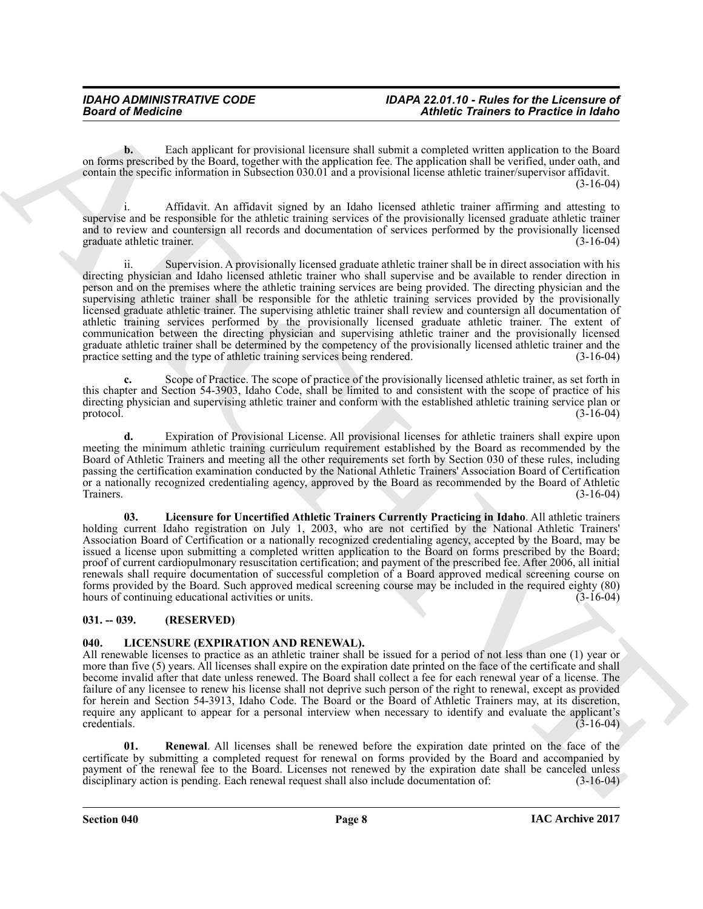**b.** Each applicant for provisional licensure shall submit a completed written application to the Board on forms prescribed by the Board, together with the application fee. The application shall be verified, under oath, and contain the specific information in Subsection 030.01 and a provisional license athletic trainer/supervisor affidavit. (3-16-04)

i. Affidavit. An affidavit signed by an Idaho licensed athletic trainer affirming and attesting to supervise and be responsible for the athletic training services of the provisionally licensed graduate athletic trainer and to review and countersign all records and documentation of services performed by the provisionally licensed graduate athletic trainer. (3-16-04) (3-16-04)

Beard of Medicine<br>
Sensitive and the finance of processors discusses data consistent with the state of the state of the state of the state of the state of the state of the state of the state of the state of the state of t ii. Supervision. A provisionally licensed graduate athletic trainer shall be in direct association with his directing physician and Idaho licensed athletic trainer who shall supervise and be available to render direction in person and on the premises where the athletic training services are being provided. The directing physician and the supervising athletic trainer shall be responsible for the athletic training services provided by the provisionally licensed graduate athletic trainer. The supervising athletic trainer shall review and countersign all documentation of athletic training services performed by the provisionally licensed graduate athletic trainer. The extent of communication between the directing physician and supervising athletic trainer and the provisionally licensed graduate athletic trainer shall be determined by the competency of the provisionally licensed athletic trainer and the practice setting and the type of athletic training services being rendered. (3-16-04)

**c.** Scope of Practice. The scope of practice of the provisionally licensed athletic trainer, as set forth in this chapter and Section 54-3903, Idaho Code, shall be limited to and consistent with the scope of practice of his directing physician and supervising athletic trainer and conform with the established athletic training service plan or protocol.  $(3-16-04)$ 

**d.** Expiration of Provisional License. All provisional licenses for athletic trainers shall expire upon meeting the minimum athletic training curriculum requirement established by the Board as recommended by the Board of Athletic Trainers and meeting all the other requirements set forth by Section 030 of these rules, including passing the certification examination conducted by the National Athletic Trainers' Association Board of Certification or a nationally recognized credentialing agency, approved by the Board as recommended by the Board of Athletic<br>Trainers. (3-16-04) Trainers. (3-16-04)

<span id="page-7-2"></span>**03. Licensure for Uncertified Athletic Trainers Currently Practicing in Idaho**. All athletic trainers holding current Idaho registration on July 1, 2003, who are not certified by the National Athletic Trainers' Association Board of Certification or a nationally recognized credentialing agency, accepted by the Board, may be issued a license upon submitting a completed written application to the Board on forms prescribed by the Board; proof of current cardiopulmonary resuscitation certification; and payment of the prescribed fee. After 2006, all initial renewals shall require documentation of successful completion of a Board approved medical screening course on forms provided by the Board. Such approved medical screening course may be included in the required eighty (80) hours of continuing educational activities or units.

# <span id="page-7-0"></span>**031. -- 039. (RESERVED)**

# <span id="page-7-3"></span><span id="page-7-1"></span>**040. LICENSURE (EXPIRATION AND RENEWAL).**

All renewable licenses to practice as an athletic trainer shall be issued for a period of not less than one (1) year or more than five (5) years. All licenses shall expire on the expiration date printed on the face of the certificate and shall become invalid after that date unless renewed. The Board shall collect a fee for each renewal year of a license. The failure of any licensee to renew his license shall not deprive such person of the right to renewal, except as provided for herein and Section 54-3913, Idaho Code. The Board or the Board of Athletic Trainers may, at its discretion, require any applicant to appear for a personal interview when necessary to identify and evaluate the applicant's credentials.  $(3-16-04)$ 

<span id="page-7-4"></span>**01. Renewal**. All licenses shall be renewed before the expiration date printed on the face of the certificate by submitting a completed request for renewal on forms provided by the Board and accompanied by payment of the renewal fee to the Board. Licenses not renewed by the expiration date shall be canceled unless<br>disciplinary action is pending. Each renewal request shall also include documentation of: (3-16-04) disciplinary action is pending. Each renewal request shall also include documentation of: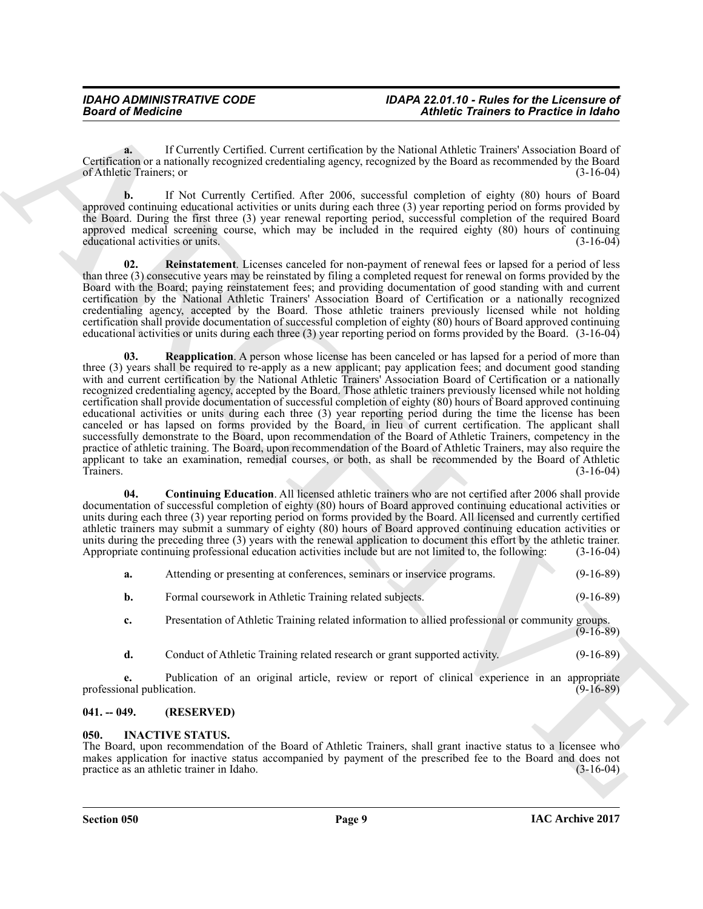**a.** If Currently Certified. Current certification by the National Athletic Trainers' Association Board of Certification or a nationally recognized credentialing agency, recognized by the Board as recommended by the Board of Athletic Trainers; or

**b.** If Not Currently Certified. After 2006, successful completion of eighty (80) hours of Board approved continuing educational activities or units during each three (3) year reporting period on forms provided by the Board. During the first three (3) year renewal reporting period, successful completion of the required Board approved medical screening course, which may be included in the required eighty (80) hours of continuing educational activities or units. (3-16-04)

<span id="page-8-5"></span><span id="page-8-4"></span>**02. Reinstatement**. Licenses canceled for non-payment of renewal fees or lapsed for a period of less than three (3) consecutive years may be reinstated by filing a completed request for renewal on forms provided by the Board with the Board; paying reinstatement fees; and providing documentation of good standing with and current certification by the National Athletic Trainers' Association Board of Certification or a nationally recognized credentialing agency, accepted by the Board. Those athletic trainers previously licensed while not holding certification shall provide documentation of successful completion of eighty (80) hours of Board approved continuing educational activities or units during each three (3) year reporting period on forms provided by the Board. (3-16-04)

**Example of Andrehos Counter Counter Counter Counter Counter Counter Counter Counter Counter Counter Counter Counter Counter Counter Counter Counter Counter Counter Counter Counter Counter Counter Counter Counter Counter 03. Reapplication**. A person whose license has been canceled or has lapsed for a period of more than three (3) years shall be required to re-apply as a new applicant; pay application fees; and document good standing with and current certification by the National Athletic Trainers' Association Board of Certification or a nationally recognized credentialing agency, accepted by the Board. Those athletic trainers previously licensed while not holding certification shall provide documentation of successful completion of eighty (80) hours of Board approved continuing educational activities or units during each three (3) year reporting period during the time the license has been canceled or has lapsed on forms provided by the Board, in lieu of current certification. The applicant shall successfully demonstrate to the Board, upon recommendation of the Board of Athletic Trainers, competency in the practice of athletic training. The Board, upon recommendation of the Board of Athletic Trainers, may also require the applicant to take an examination, remedial courses, or both, as shall be recommended by the Board of Athletic Trainers. (3-16-04)

<span id="page-8-3"></span>**04. Continuing Education**. All licensed athletic trainers who are not certified after 2006 shall provide documentation of successful completion of eighty (80) hours of Board approved continuing educational activities or units during each three (3) year reporting period on forms provided by the Board. All licensed and currently certified athletic trainers may submit a summary of eighty (80) hours of Board approved continuing education activities or units during the preceding three (3) years with the renewal application to document this effort by the athletic trainer.<br>Appropriate continuing professional education activities include but are not limited to, the followin Appropriate continuing professional education activities include but are not limited to, the following:

| Attending or presenting at conferences, seminars or inservice programs. | $(9-16-89)$ |
|-------------------------------------------------------------------------|-------------|
|                                                                         |             |

- **b.** Formal coursework in Athletic Training related subjects. (9-16-89)
- **c.** Presentation of Athletic Training related information to allied professional or community groups.  $(9-16-89)$
- **d.** Conduct of Athletic Training related research or grant supported activity. (9-16-89)

**e.** Publication of an original article, review or report of clinical experience in an appropriate mal publication. (9-16-89) professional publication.

# <span id="page-8-0"></span>**041. -- 049. (RESERVED)**

# <span id="page-8-2"></span><span id="page-8-1"></span>**050. INACTIVE STATUS.**

The Board, upon recommendation of the Board of Athletic Trainers, shall grant inactive status to a licensee who makes application for inactive status accompanied by payment of the prescribed fee to the Board and does not practice as an athletic trainer in Idaho. (3-16-04) practice as an athletic trainer in Idaho.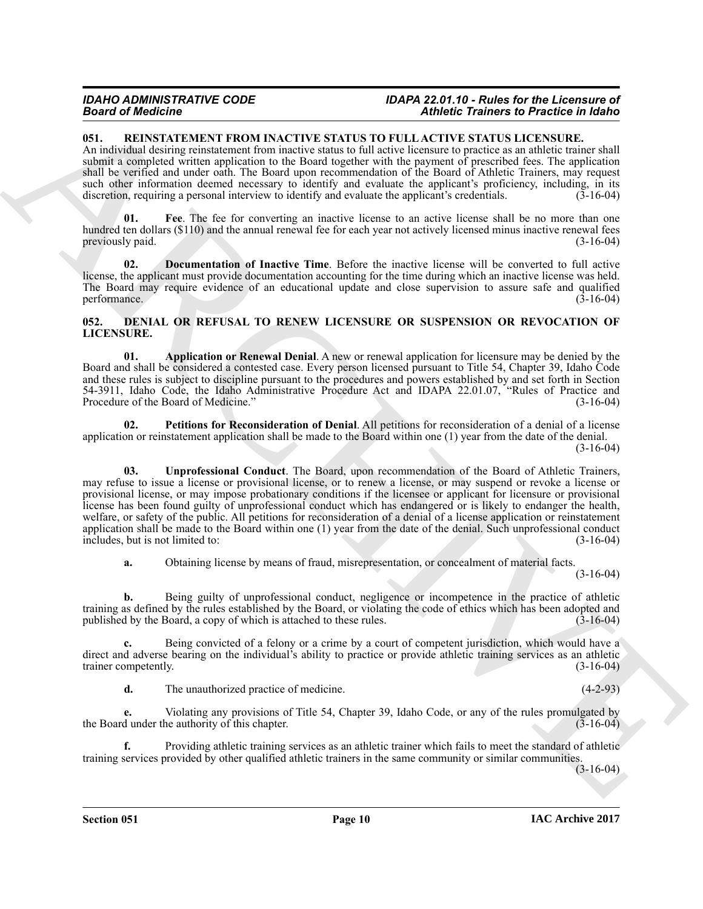#### *IDAHO ADMINISTRATIVE CODE IDAPA 22.01.10 - Rules for the Licensure of Board of Medicine Athletic Trainers to Practice in Idaho*

# <span id="page-9-6"></span><span id="page-9-0"></span>**051. REINSTATEMENT FROM INACTIVE STATUS TO FULL ACTIVE STATUS LICENSURE.**

An individual desiring reinstatement from inactive status to full active licensure to practice as an athletic trainer shall submit a completed written application to the Board together with the payment of prescribed fees. The application shall be verified and under oath. The Board upon recommendation of the Board of Athletic Trainers, may request such other information deemed necessary to identify and evaluate the applicant's proficiency, including, in its discretion, requiring a personal interview to identify and evaluate the applicant's credentials. (3-16-04) discretion, requiring a personal interview to identify and evaluate the applicant's credentials.

<span id="page-9-8"></span>Fee. The fee for converting an inactive license to an active license shall be no more than one hundred ten dollars (\$110) and the annual renewal fee for each year not actively licensed minus inactive renewal fees previously paid. (3-16-04) (3-16-04)

<span id="page-9-7"></span>**02. Documentation of Inactive Time**. Before the inactive license will be converted to full active license, the applicant must provide documentation accounting for the time during which an inactive license was held. The Board may require evidence of an educational update and close supervision to assure safe and qualified performance. (3-16-04)

#### <span id="page-9-2"></span><span id="page-9-1"></span>**052. DENIAL OR REFUSAL TO RENEW LICENSURE OR SUSPENSION OR REVOCATION OF LICENSURE.**

<span id="page-9-3"></span>**01. Application or Renewal Denial**. A new or renewal application for licensure may be denied by the Board and shall be considered a contested case. Every person licensed pursuant to Title 54, Chapter 39, Idaho Code and these rules is subject to discipline pursuant to the procedures and powers established by and set forth in Section 54-3911, Idaho Code, the Idaho Administrative Procedure Act and IDAPA 22.01.07, "Rules of Practice and Procedure of the Board of Medicine." (3-16-04)

<span id="page-9-5"></span><span id="page-9-4"></span>**02. Petitions for Reconsideration of Denial**. All petitions for reconsideration of a denial of a license application or reinstatement application shall be made to the Board within one (1) year from the date of the denial. (3-16-04)

**SEARCH CONSULTER AND ANALY IN STATE OF THE CONTRACT CONSULTER AND ARCHETER AND ARCHETER AND ARCHETER AND ARCHETER AND ARCHETER AND ARCHETER AND ARCHETER AND ARCHETER AND ARCHETER AND ARCHETER AND ARCHETER AND ARCHETER AN 03. Unprofessional Conduct**. The Board, upon recommendation of the Board of Athletic Trainers, may refuse to issue a license or provisional license, or to renew a license, or may suspend or revoke a license or provisional license, or may impose probationary conditions if the licensee or applicant for licensure or provisional license has been found guilty of unprofessional conduct which has endangered or is likely to endanger the health, welfare, or safety of the public. All petitions for reconsideration of a denial of a license application or reinstatement application shall be made to the Board within one (1) year from the date of the denial. Such unprofessional conduct includes, but is not limited to:  $(3-16-04)$ includes, but is not limited to:

**a.** Obtaining license by means of fraud, misrepresentation, or concealment of material facts.

(3-16-04)

**b.** Being guilty of unprofessional conduct, negligence or incompetence in the practice of athletic training as defined by the rules established by the Board, or violating the code of ethics which has been adopted and published by the Board, a copy of which is attached to these rules. (3-16-04)

**c.** Being convicted of a felony or a crime by a court of competent jurisdiction, which would have a direct and adverse bearing on the individual's ability to practice or provide athletic training services as an athletic trainer competently. (3-16-04) trainer competently.

**d.** The unauthorized practice of medicine. (4-2-93)

**e.** Violating any provisions of Title 54, Chapter 39, Idaho Code, or any of the rules promulgated by the Board under the authority of this chapter. (3-16-04) (3-16-04)

**f.** Providing athletic training services as an athletic trainer which fails to meet the standard of athletic training services provided by other qualified athletic trainers in the same community or similar communities.

 $(3-16-04)$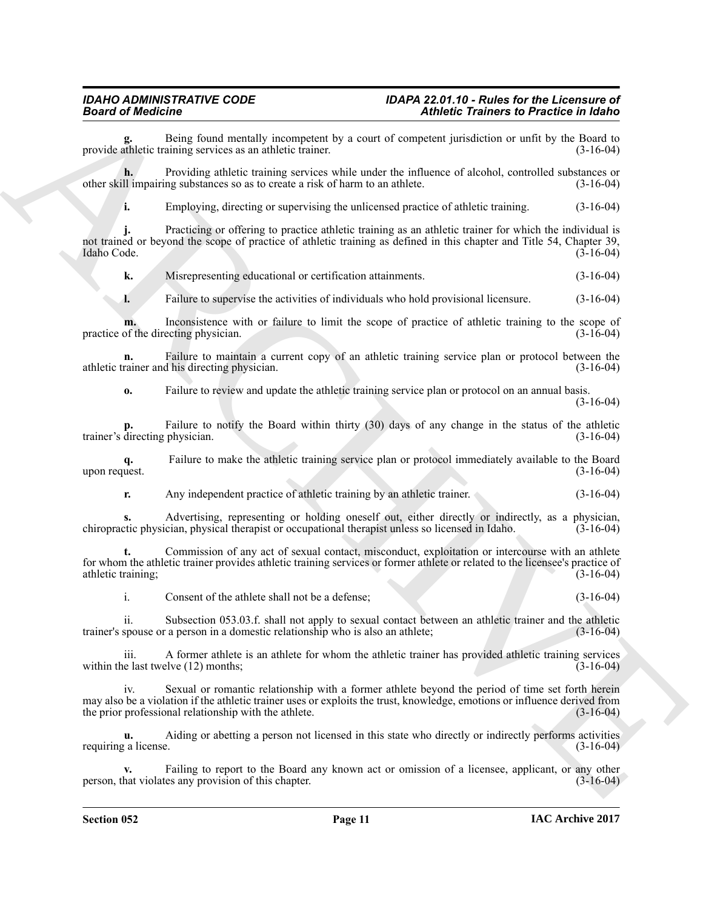Being found mentally incompetent by a court of competent jurisdiction or unfit by the Board to aining services as an athletic trainer. provide athletic training services as an athletic trainer.

**h.** Providing athletic training services while under the influence of alcohol, controlled substances or other skill impairing substances so as to create a risk of harm to an athlete. (3-16-04)

**i.** Employing, directing or supervising the unlicensed practice of athletic training. (3-16-04)

**Example the Controlline System Controlline System Controlline Controlline Controlline System Controlline Controlline System Controlline Controlline Controlline Controlline Controlline Controlline Controlline Controlline j.** Practicing or offering to practice athletic training as an athletic trainer for which the individual is not trained or beyond the scope of practice of athletic training as defined in this chapter and Title 54, Chapter 39, Idaho Code. (3-16-04) Idaho Code. (3-16-04)

**k.** Misrepresenting educational or certification attainments. (3-16-04)

**l.** Failure to supervise the activities of individuals who hold provisional licensure. (3-16-04)

**m.** Inconsistence with or failure to limit the scope of practice of athletic training to the scope of the directing physician. (3-16-04) practice of the directing physician.

**n.** Failure to maintain a current copy of an athletic training service plan or protocol between the rainer and his directing physician. (3-16-04) athletic trainer and his directing physician.

**o.** Failure to review and update the athletic training service plan or protocol on an annual basis.

(3-16-04)

**p.** Failure to notify the Board within thirty (30) days of any change in the status of the athletic directing physician. (3-16-04) trainer's directing physician.

**q.** Failure to make the athletic training service plan or protocol immediately available to the Board upon request.

**r.** Any independent practice of athletic training by an athletic trainer. (3-16-04)

**s.** Advertising, representing or holding oneself out, either directly or indirectly, as a physician, tic physician, physical therapist or occupational therapist unless so licensed in Idaho. (3-16-04) chiropractic physician, physical therapist or occupational therapist unless so licensed in Idaho.

**t.** Commission of any act of sexual contact, misconduct, exploitation or intercourse with an athlete for whom the athletic trainer provides athletic training services or former athlete or related to the licensee's practice of athletic training; (3-16-04) (3-16-04)

i. Consent of the athlete shall not be a defense; (3-16-04)

ii. Subsection 053.03.f. shall not apply to sexual contact between an athletic trainer and the athletic spouse or a person in a domestic relationship who is also an athlete; (3-16-04) trainer's spouse or a person in a domestic relationship who is also an athlete;

iii. A former athlete is an athlete for whom the athletic trainer has provided athletic training services e last twelve (12) months: (3-16-04) within the last twelve  $(12)$  months;

iv. Sexual or romantic relationship with a former athlete beyond the period of time set forth herein may also be a violation if the athletic trainer uses or exploits the trust, knowledge, emotions or influence derived from<br>the prior professional relationship with the athlete. (3-16-04) the prior professional relationship with the athlete.

**u.** Aiding or abetting a person not licensed in this state who directly or indirectly performs activities (a license.  $(3-16-04)$ ) requiring a license.

Failing to report to the Board any known act or omission of a licensee, applicant, or any other es any provision of this chapter.  $(3-16-04)$ person, that violates any provision of this chapter.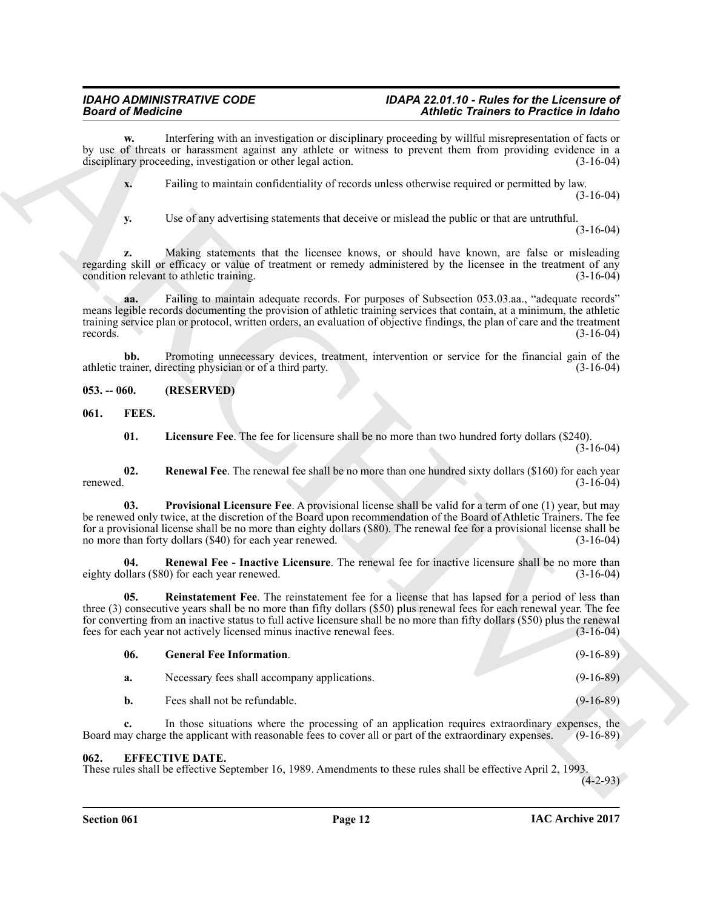<span id="page-11-3"></span><span id="page-11-1"></span><span id="page-11-0"></span>

| <b>Board of Medicine</b> |                                                                                                         | Athletic Trainers to Practice in Idaho                                                                                                                                                                                                                                                                                                                                          |  |  |
|--------------------------|---------------------------------------------------------------------------------------------------------|---------------------------------------------------------------------------------------------------------------------------------------------------------------------------------------------------------------------------------------------------------------------------------------------------------------------------------------------------------------------------------|--|--|
| w.                       | disciplinary proceeding, investigation or other legal action.                                           | Interfering with an investigation or disciplinary proceeding by willful misrepresentation of facts or<br>by use of threats or harassment against any athlete or witness to prevent them from providing evidence in a<br>$(3-16-04)$                                                                                                                                             |  |  |
| x.                       |                                                                                                         | Failing to maintain confidentiality of records unless otherwise required or permitted by law.<br>$(3-16-04)$                                                                                                                                                                                                                                                                    |  |  |
| <b>y.</b>                |                                                                                                         | Use of any advertising statements that deceive or mislead the public or that are untruthful.<br>$(3-16-04)$                                                                                                                                                                                                                                                                     |  |  |
| z.                       | condition relevant to athletic training.                                                                | Making statements that the licensee knows, or should have known, are false or misleading<br>regarding skill or efficacy or value of treatment or remedy administered by the licensee in the treatment of any<br>$(3-16-04)$                                                                                                                                                     |  |  |
| aa.<br>records.          |                                                                                                         | Failing to maintain adequate records. For purposes of Subsection 053.03.aa., "adequate records"<br>means legible records documenting the provision of athletic training services that contain, at a minimum, the athletic<br>training service plan or protocol, written orders, an evaluation of objective findings, the plan of care and the treatment<br>$(3-16-04)$          |  |  |
| bb.                      | athletic trainer, directing physician or of a third party.                                              | Promoting unnecessary devices, treatment, intervention or service for the financial gain of the<br>$(3-16-04)$                                                                                                                                                                                                                                                                  |  |  |
| $053. - 060.$            | (RESERVED)                                                                                              |                                                                                                                                                                                                                                                                                                                                                                                 |  |  |
| FEES.<br>061.            |                                                                                                         |                                                                                                                                                                                                                                                                                                                                                                                 |  |  |
| 01.                      |                                                                                                         | <b>Licensure Fee</b> . The fee for licensure shall be no more than two hundred forty dollars (\$240).<br>$(3-16-04)$                                                                                                                                                                                                                                                            |  |  |
| 02.<br>renewed.          |                                                                                                         | <b>Renewal Fee</b> . The renewal fee shall be no more than one hundred sixty dollars (\$160) for each year<br>$(3-16-04)$                                                                                                                                                                                                                                                       |  |  |
| 03.                      | no more than forty dollars (\$40) for each year renewed.                                                | <b>Provisional Licensure Fee</b> . A provisional license shall be valid for a term of one (1) year, but may<br>be renewed only twice, at the discretion of the Board upon recommendation of the Board of Athletic Trainers. The fee<br>for a provisional license shall be no more than eighty dollars (\$80). The renewal fee for a provisional license shall be<br>$(3-16-04)$ |  |  |
| 04.                      | eighty dollars (\$80) for each year renewed.                                                            | <b>Renewal Fee - Inactive Licensure</b> . The renewal fee for inactive licensure shall be no more than<br>$(3-16-04)$                                                                                                                                                                                                                                                           |  |  |
| 05.                      | fees for each year not actively licensed minus inactive renewal fees.                                   | Reinstatement Fee. The reinstatement fee for a license that has lapsed for a period of less than<br>three (3) consecutive years shall be no more than fifty dollars (\$50) plus renewal fees for each renewal year. The fee<br>for converting from an inactive status to full active licensure shall be no more than fifty dollars (\$50) plus the renewal<br>$(3-16-04)$       |  |  |
| 06.                      | <b>General Fee Information.</b>                                                                         | $(9-16-89)$                                                                                                                                                                                                                                                                                                                                                                     |  |  |
| a.                       | Necessary fees shall accompany applications.                                                            | $(9-16-89)$                                                                                                                                                                                                                                                                                                                                                                     |  |  |
| b.                       | Fees shall not be refundable.                                                                           | $(9-16-89)$                                                                                                                                                                                                                                                                                                                                                                     |  |  |
| c.                       | Board may charge the applicant with reasonable fees to cover all or part of the extraordinary expenses. | In those situations where the processing of an application requires extraordinary expenses, the<br>$(9-16-89)$                                                                                                                                                                                                                                                                  |  |  |
| 062.                     | <b>EFFECTIVE DATE.</b>                                                                                  | These rules shall be effective September 16, 1989. Amendments to these rules shall be effective April 2, 1993.<br>$(4-2-93)$                                                                                                                                                                                                                                                    |  |  |

# <span id="page-11-9"></span><span id="page-11-8"></span><span id="page-11-7"></span><span id="page-11-6"></span><span id="page-11-5"></span><span id="page-11-4"></span><span id="page-11-2"></span>**062. EFFECTIVE DATE.**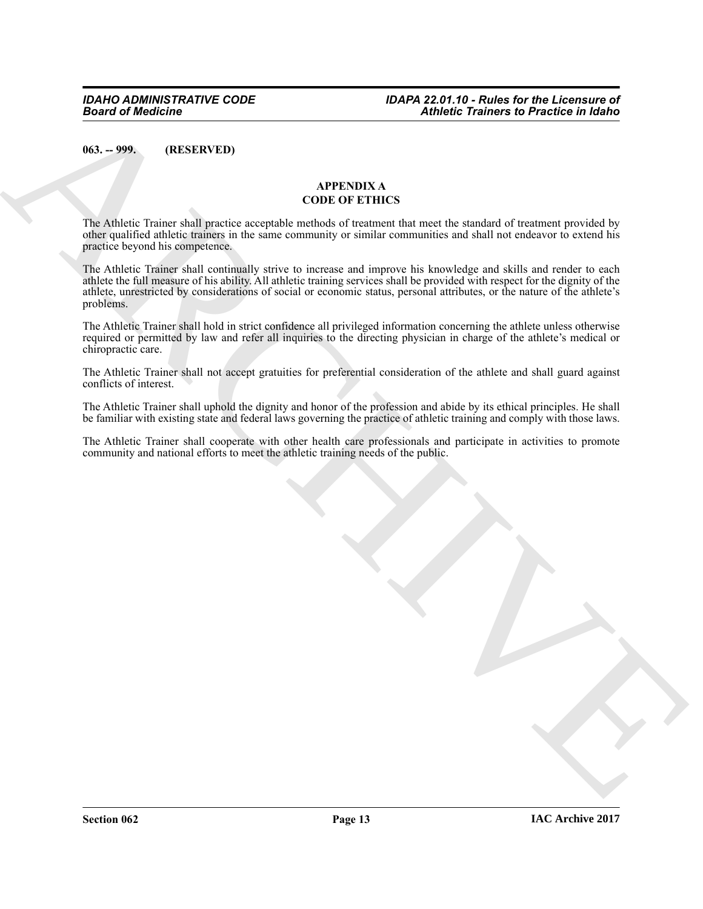<span id="page-12-0"></span>**063. -- 999. (RESERVED)**

# <span id="page-12-1"></span>**APPENDIX A CODE OF ETHICS**

The Athletic Trainer shall practice acceptable methods of treatment that meet the standard of treatment provided by other qualified athletic trainers in the same community or similar communities and shall not endeavor to extend his practice beyond his competence.

**Artheric Frances of Priority Control Control Control Control Control Control Control Control Control Control Control Control Control Control Control Control Control Control Control Control Control Control Control Control** The Athletic Trainer shall continually strive to increase and improve his knowledge and skills and render to each athlete the full measure of his ability. All athletic training services shall be provided with respect for the dignity of the athlete, unrestricted by considerations of social or economic status, personal attributes, or the nature of the athlete's problems.

The Athletic Trainer shall hold in strict confidence all privileged information concerning the athlete unless otherwise required or permitted by law and refer all inquiries to the directing physician in charge of the athlete's medical or chiropractic care.

The Athletic Trainer shall not accept gratuities for preferential consideration of the athlete and shall guard against conflicts of interest.

The Athletic Trainer shall uphold the dignity and honor of the profession and abide by its ethical principles. He shall be familiar with existing state and federal laws governing the practice of athletic training and comply with those laws.

The Athletic Trainer shall cooperate with other health care professionals and participate in activities to promote community and national efforts to meet the athletic training needs of the public.